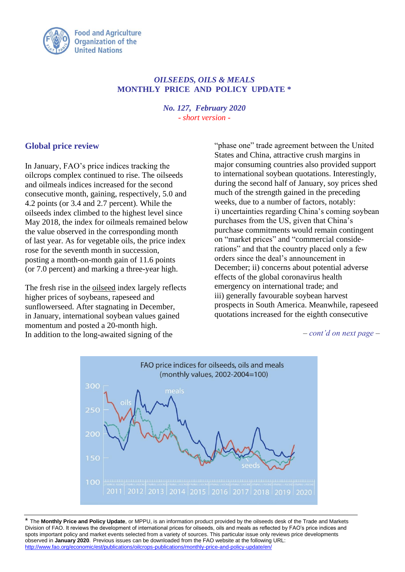

## *OILSEEDS, OILS & MEALS* **MONTHLY PRICE AND POLICY UPDATE \***

*No. 127, February 2020 - short version -*

## **Global price review**

In January, FAO's price indices tracking the oilcrops complex continued to rise. The oilseeds and oilmeals indices increased for the second consecutive month, gaining, respectively, 5.0 and 4.2 points (or 3.4 and 2.7 percent). While the oilseeds index climbed to the highest level since May 2018, the index for oilmeals remained below the value observed in the corresponding month of last year. As for vegetable oils, the price index rose for the seventh month in succession, posting a month-on-month gain of 11.6 points (or 7.0 percent) and marking a three-year high.

The fresh rise in the oilseed index largely reflects higher prices of soybeans, rapeseed and sunflowerseed. After stagnating in December, in January, international soybean values gained momentum and posted a 20-month high. In addition to the long-awaited signing of the

"phase one" trade agreement between the United States and China, attractive crush margins in major consuming countries also provided support to international soybean quotations. Interestingly, during the second half of January, soy prices shed much of the strength gained in the preceding weeks, due to a number of factors, notably: i) uncertainties regarding China's coming soybean purchases from the US, given that China's purchase commitments would remain contingent on "market prices" and "commercial considerations" and that the country placed only a few orders since the deal's announcement in December; ii) concerns about potential adverse effects of the global coronavirus health emergency on international trade; and iii) generally favourable soybean harvest prospects in South America. Meanwhile, rapeseed quotations increased for the eighth consecutive

*– cont'd on next page –*



\* The **Monthly Price and Policy Update**, or MPPU, is an information product provided by the oilseeds desk of the Trade and Markets Division of FAO. It reviews the development of international prices for oilseeds, oils and meals as reflected by FAO's price indices and spots important policy and market events selected from a variety of sources. This particular issue only reviews price developments observed in **January 2020**. Previous issues can be downloaded from the FAO website at the following URL: <http://www.fao.org/economic/est/publications/oilcrops-publications/monthly-price-and-policy-update/en/>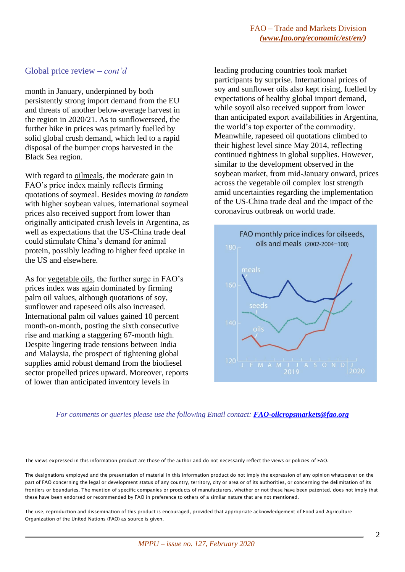## Global price review *– cont'd*

month in January, underpinned by both persistently strong import demand from the EU and threats of another below-average harvest in the region in 2020/21. As to sunflowerseed, the further hike in prices was primarily fuelled by solid global crush demand, which led to a rapid disposal of the bumper crops harvested in the Black Sea region.

With regard to oilmeals, the moderate gain in FAO's price index mainly reflects firming quotations of soymeal. Besides moving *in tandem* with higher soybean values, international soymeal prices also received support from lower than originally anticipated crush levels in Argentina, as well as expectations that the US-China trade deal could stimulate China's demand for animal protein, possibly leading to higher feed uptake in the US and elsewhere.

As for vegetable oils, the further surge in FAO's prices index was again dominated by firming palm oil values, although quotations of soy, sunflower and rapeseed oils also increased. International palm oil values gained 10 percent month-on-month, posting the sixth consecutive rise and marking a staggering 67-month high. Despite lingering trade tensions between India and Malaysia, the prospect of tightening global supplies amid robust demand from the biodiesel sector propelled prices upward. Moreover, reports of lower than anticipated inventory levels in

leading producing countries took market participants by surprise. International prices of soy and sunflower oils also kept rising, fuelled by expectations of healthy global import demand, while soyoil also received support from lower than anticipated export availabilities in Argentina, the world's top exporter of the commodity. Meanwhile, rapeseed oil quotations climbed to their highest level since May 2014, reflecting continued tightness in global supplies. However, similar to the development observed in the soybean market, from mid-January onward, prices across the vegetable oil complex lost strength amid uncertainties regarding the implementation of the US-China trade deal and the impact of the coronavirus outbreak on world trade.



## *For comments or queries please use the following Email contact: [FAO-oilcropsmarkets@fao.org](mailto:FAO-oilcropsmarkets@fao.org)*

The views expressed in this information product are those of the author and do not necessarily reflect the views or policies of FAO.

The designations employed and the presentation of material in this information product do not imply the expression of any opinion whatsoever on the part of FAO concerning the legal or development status of any country, territory, city or area or of its authorities, or concerning the delimitation of its frontiers or boundaries. The mention of specific companies or products of manufacturers, whether or not these have been patented, does not imply that these have been endorsed or recommended by FAO in preference to others of a similar nature that are not mentioned.

The use, reproduction and dissemination of this product is encouraged, provided that appropriate acknowledgement of Food and Agriculture Organization of the United Nations (FAO) as source is given.